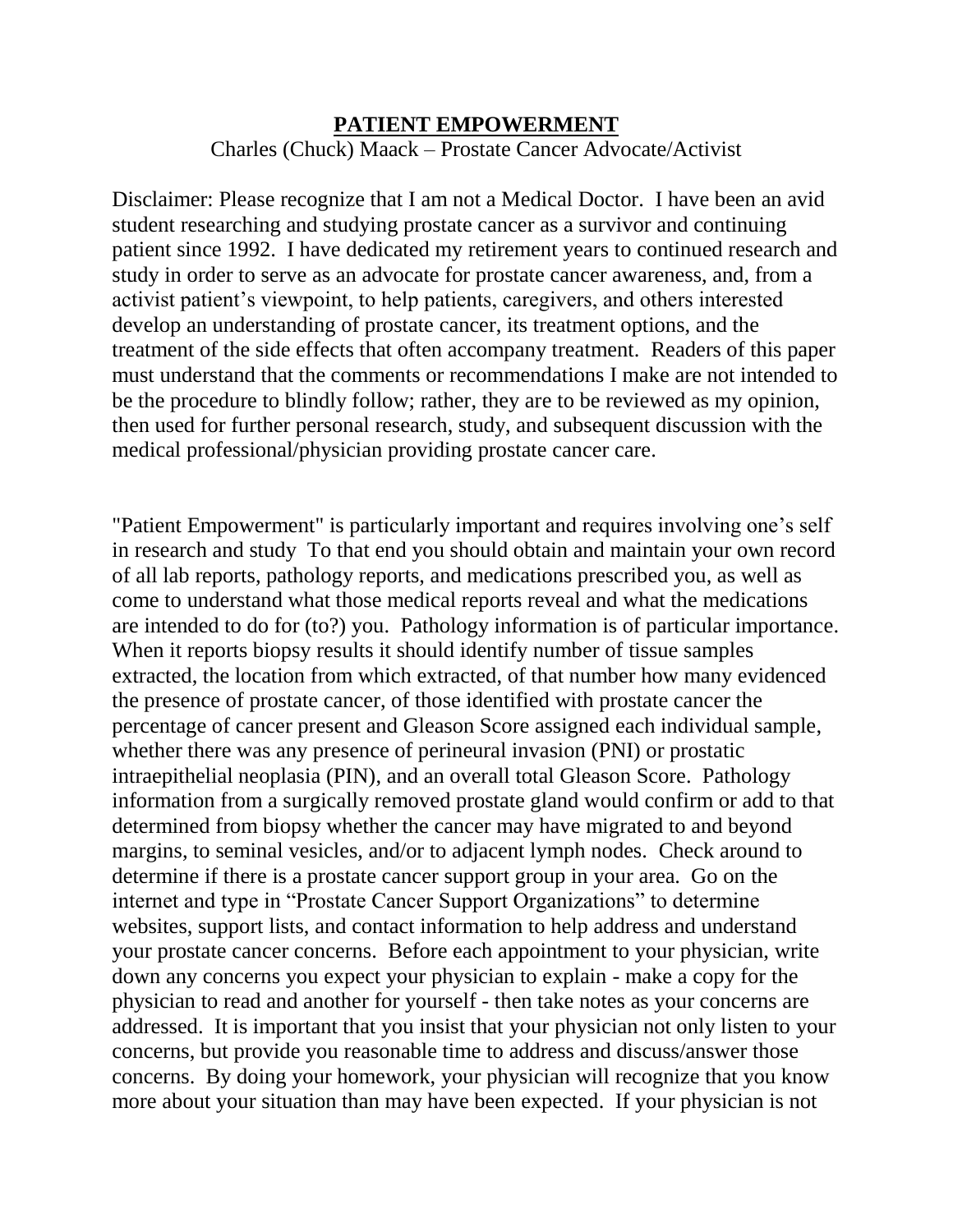## **PATIENT EMPOWERMENT** Charles (Chuck) Maack – Prostate Cancer Advocate/Activist

Disclaimer: Please recognize that I am not a Medical Doctor. I have been an avid student researching and studying prostate cancer as a survivor and continuing patient since 1992. I have dedicated my retirement years to continued research and study in order to serve as an advocate for prostate cancer awareness, and, from a activist patient's viewpoint, to help patients, caregivers, and others interested develop an understanding of prostate cancer, its treatment options, and the treatment of the side effects that often accompany treatment. Readers of this paper must understand that the comments or recommendations I make are not intended to be the procedure to blindly follow; rather, they are to be reviewed as my opinion, then used for further personal research, study, and subsequent discussion with the medical professional/physician providing prostate cancer care.

"Patient Empowerment" is particularly important and requires involving one's self in research and study To that end you should obtain and maintain your own record of all lab reports, pathology reports, and medications prescribed you, as well as come to understand what those medical reports reveal and what the medications are intended to do for (to?) you. Pathology information is of particular importance. When it reports biopsy results it should identify number of tissue samples extracted, the location from which extracted, of that number how many evidenced the presence of prostate cancer, of those identified with prostate cancer the percentage of cancer present and Gleason Score assigned each individual sample, whether there was any presence of perineural invasion (PNI) or prostatic intraepithelial neoplasia (PIN), and an overall total Gleason Score. Pathology information from a surgically removed prostate gland would confirm or add to that determined from biopsy whether the cancer may have migrated to and beyond margins, to seminal vesicles, and/or to adjacent lymph nodes. Check around to determine if there is a prostate cancer support group in your area. Go on the internet and type in "Prostate Cancer Support Organizations" to determine websites, support lists, and contact information to help address and understand your prostate cancer concerns. Before each appointment to your physician, write down any concerns you expect your physician to explain - make a copy for the physician to read and another for yourself - then take notes as your concerns are addressed. It is important that you insist that your physician not only listen to your concerns, but provide you reasonable time to address and discuss/answer those concerns. By doing your homework, your physician will recognize that you know more about your situation than may have been expected. If your physician is not